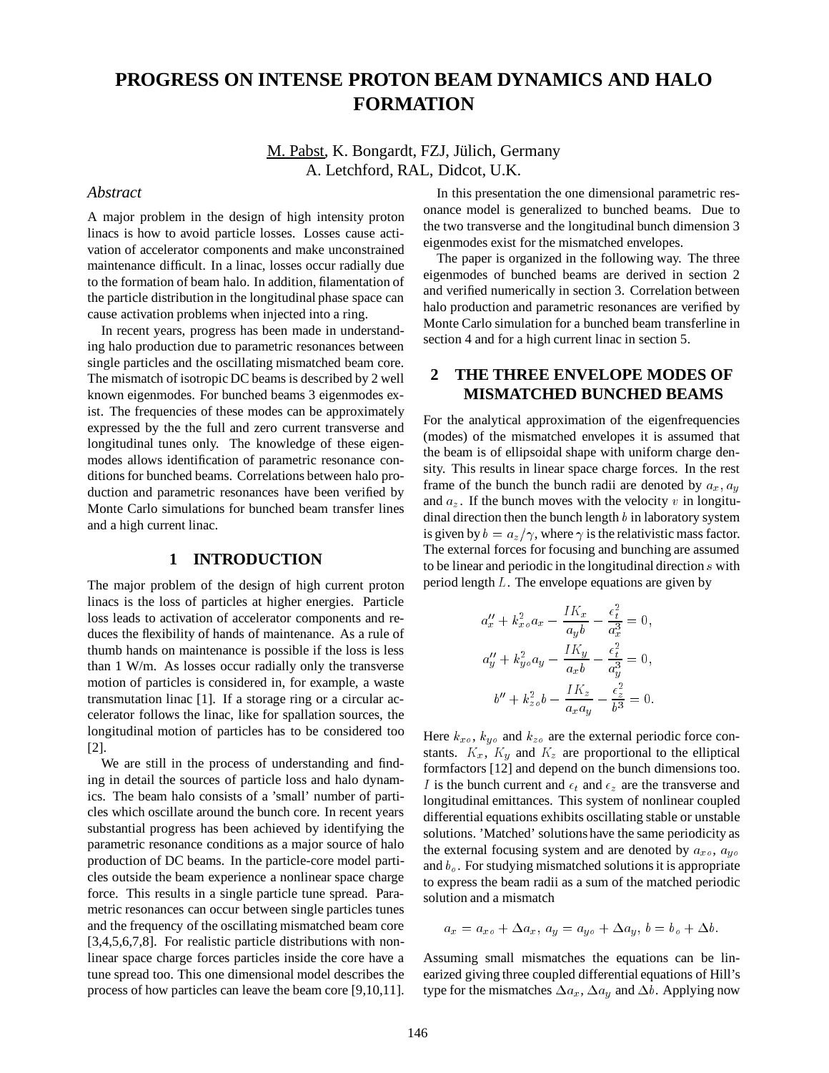# **PROGRESS ON INTENSE PROTON BEAM DYNAMICS AND HALO FORMATION**

M. Pabst, K. Bongardt, FZJ, Jülich, Germany A. Letchford, RAL, Didcot, U.K.

#### *Abstract*

A major problem in the design of high intensity proton linacs is how to avoid particle losses. Losses cause activation of accelerator components and make unconstrained maintenance difficult. In a linac, losses occur radially due to the formation of beam halo. In addition, filamentation of the particle distribution in the longitudinal phase space can cause activation problems when injected into a ring.

In recent years, progress has been made in understanding halo production due to parametric resonances between single particles and the oscillating mismatched beam core. The mismatch of isotropic DC beams is described by 2 well known eigenmodes. For bunched beams 3 eigenmodes exist. The frequencies of these modes can be approximately expressed by the the full and zero current transverse and longitudinal tunes only. The knowledge of these eigenmodes allows identification of parametric resonance conditions for bunched beams. Correlations between halo production and parametric resonances have been verified by Monte Carlo simulations for bunched beam transfer lines and a high current linac.

### **1 INTRODUCTION**

The major problem of the design of high current proton linacs is the loss of particles at higher energies. Particle loss leads to activation of accelerator components and reduces the flexibility of hands of maintenance. As a rule of thumb hands on maintenance is possible if the loss is less than 1 W/m. As losses occur radially only the transverse motion of particles is considered in, for example, a waste transmutation linac [1]. If a storage ring or a circular accelerator follows the linac, like for spallation sources, the longitudinal motion of particles has to be considered too [2].

We are still in the process of understanding and finding in detail the sources of particle loss and halo dynamics. The beam halo consists of a 'small' number of particles which oscillate around the bunch core. In recent years substantial progress has been achieved by identifying the parametric resonance conditions as a major source of halo production of DC beams. In the particle-core model particles outside the beam experience a nonlinear space charge force. This results in a single particle tune spread. Parametric resonances can occur between single particles tunes and the frequency of the oscillating mismatched beam core [3,4,5,6,7,8]. For realistic particle distributions with nonlinear space charge forces particles inside the core have a tune spread too. This one dimensional model describes the process of how particles can leave the beam core [9,10,11].

In this presentation the one dimensional parametric resonance model is generalized to bunched beams. Due to the two transverse and the longitudinal bunch dimension 3 eigenmodes exist for the mismatched envelopes.

The paper is organized in the following way. The three eigenmodes of bunched beams are derived in section 2 and verified numerically in section 3. Correlation between halo production and parametric resonances are verified by Monte Carlo simulation for a bunched beam transferline in section 4 and for a high current linac in section 5.

# **2 THE THREE ENVELOPE MODES OF MISMATCHED BUNCHED BEAMS**

For the analytical approximation of the eigenfrequencies (modes) of the mismatched envelopes it is assumed that the beam is of ellipsoidal shape with uniform charge density. This results in linear space charge forces. In the rest frame of the bunch the bunch radii are denoted by  $a_x$ ,  $a_y$ and  $a_z$ . If the bunch moves with the velocity v in longitudinal direction then the bunch length  $b$  in laboratory system is given by  $b = a_z/\gamma$ , where  $\gamma$  is the relativistic mass factor. The external forces for focusing and bunching are assumed to be linear and periodic in the longitudinal direction  $s$  with period length  $L$ . The envelope equations are given by

$$
a''_x + k^2_{xo} a_x - \frac{IK_x}{a_y b} - \frac{\epsilon^2_t}{a^3_x} = 0,
$$
  
\n
$$
a''_y + k^2_{yo} a_y - \frac{IK_y}{a_x b} - \frac{\epsilon^2_t}{a^3_y} = 0,
$$
  
\n
$$
b'' + k^2_{zo} b - \frac{IK_z}{a_x a_y} - \frac{\epsilon^2_z}{b^3} = 0.
$$

Here  $k_{xo}$ ,  $k_{yo}$  and  $k_{zo}$  are the external periodic force constants.  $K_x$ ,  $K_y$  and  $K_z$  are proportional to the elliptical formfactors [12] and depend on the bunch dimensions too. I is the bunch current and  $\epsilon_t$  and  $\epsilon_z$  are the transverse and longitudinal emittances. This system of nonlinear coupled differential equations exhibits oscillating stable or unstable solutions. 'Matched' solutions have the same periodicity as the external focusing system and are denoted by  $a_{xo}$ ,  $a_{yo}$ and  $b<sub>o</sub>$ . For studying mismatched solutions it is appropriate to express the beam radii as a sum of the matched periodic solution and a mismatch

$$
a_x = a_{x0} + \Delta a_x, \, a_y = a_{y0} + \Delta a_y, \, b = b_o + \Delta b.
$$

Assuming small mismatches the equations can be linearized giving three coupled differential equations of Hill's type for the mismatches  $\Delta a_x$ ,  $\Delta a_y$  and  $\Delta b$ . Applying now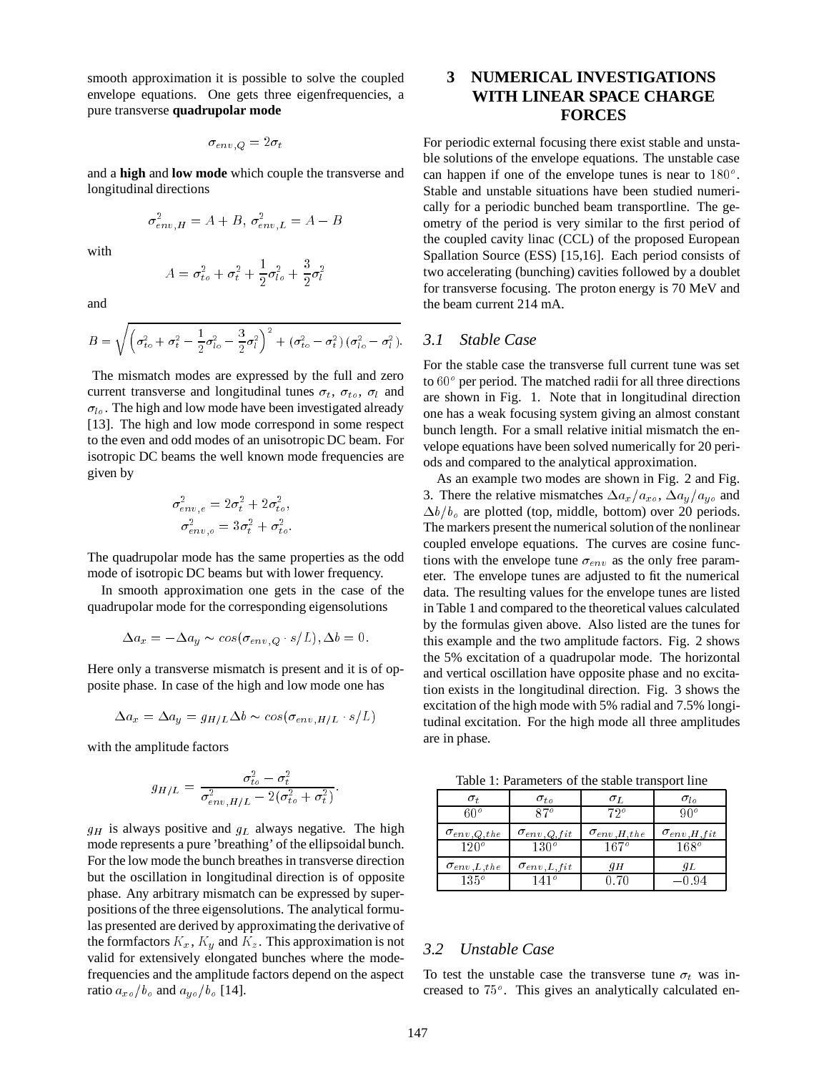smooth approximation it is possible to solve the coupled envelope equations. One gets three eigenfrequencies, a pure transverse **quadrupolar mode**

$$
\sigma_{\mathit{env},\mathit{Q}} = 2\sigma_t
$$

and a **high** and **low mode** which couple the transverse and longitudinal directions

$$
\sigma_{env,H}^2 = A + B, \sigma_{env,L}^2 = A - B
$$

with

$$
A = \sigma_{to}^2 + \sigma_t^2 + \frac{1}{2}\sigma_{to}^2 + \frac{3}{2}\sigma_t^2
$$

and

$$
B = \sqrt{\left(\sigma_{to}^2 + \sigma_{t}^2 - \frac{1}{2}\sigma_{to}^2 - \frac{3}{2}\sigma_{t}^2\right)^2 + \left(\sigma_{to}^2 - \sigma_{t}^2\right)\left(\sigma_{to}^2 - \sigma_{t}^2\right)}.
$$

The mismatch modes are expressed by the full and zero current transverse and longitudinal tunes  $\sigma_t$ ,  $\sigma_{to}$ ,  $\sigma_l$  and  $\sigma_{lo}$ . The high and low mode have been investigated already [13]. The high and low mode correspond in some respect to the even and odd modes of an unisotropic DC beam. For isotropic DC beams the well known mode frequencies are given by

$$
\sigma_{env,e}^2 = 2\sigma_t^2 + 2\sigma_{to}^2,
$$

$$
\sigma_{env,o}^2 = 3\sigma_t^2 + \sigma_{to}^2.
$$

The quadrupolar mode has the same properties as the odd mode of isotropic DC beams but with lower frequency.

In smooth approximation one gets in the case of the quadrupolar mode for the corresponding eigensolutions

$$
\Delta a_x = -\Delta a_y \sim \cos(\sigma_{env,Q} \cdot s/L), \Delta b = 0.
$$

Here only a transverse mismatch is present and it is of opposite phase. In case of the high and low mode one has

$$
\Delta a_x = \Delta a_y = g_{H/L} \Delta b \sim \cos(\sigma_{env, H/L} \cdot s/L)
$$

with the amplitude factors

$$
g_{H/L} = \frac{\sigma_{to}^2 - \sigma_t^2}{\sigma_{env. H/L}^2 - 2(\sigma_{to}^2 + \sigma_t^2)}.
$$

 $g_H$  is always positive and  $g_L$  always negative. The high mode represents a pure 'breathing' of the ellipsoidal bunch. For the low mode the bunch breathes in transverse direction but the oscillation in longitudinal direction is of opposite phase. Any arbitrary mismatch can be expressed by superpositions of the three eigensolutions. The analytical formulas presented are derived by approximating the derivative of the formfactors  $K_x$ ,  $K_y$  and  $K_z$ . This approximation is not valid for extensively elongated bunches where the modefrequencies and the amplitude factors depend on the aspect ratio  $a_{xo}/b_o$  and  $a_{yo}/b_o$  [14].

# **3 NUMERICAL INVESTIGATIONS WITH LINEAR SPACE CHARGE FORCES**

For periodic external focusing there exist stable and unstable solutions of the envelope equations. The unstable case can happen if one of the envelope tunes is near to  $180^\circ$ . Stable and unstable situations have been studied numerically for a periodic bunched beam transportline. The geometry of the period is very similar to the first period of the coupled cavity linac (CCL) of the proposed European Spallation Source (ESS) [15,16]. Each period consists of two accelerating (bunching) cavities followed by a doublet for transverse focusing. The proton energy is 70 MeV and the beam current 214 mA.

#### *3.1 Stable Case*

For the stable case the transverse full current tune was set to  $60^\circ$  per period. The matched radii for all three directions are shown in Fig. 1. Note that in longitudinal direction one has a weak focusing system giving an almost constant bunch length. For a small relative initial mismatch the envelope equations have been solved numerically for 20 periods and compared to the analytical approximation.

As an example two modes are shown in Fig. 2 and Fig. 3. There the relative mismatches  $\Delta a_x/a_{xo}$ ,  $\Delta a_y/a_{yo}$  and  $\Delta b/b_0$  are plotted (top, middle, bottom) over 20 periods. The markers present the numerical solution of the nonlinear coupled envelope equations. The curves are cosine functions with the envelope tune  $\sigma_{env}$  as the only free parameter. The envelope tunes are adjusted to fit the numerical data. The resulting values for the envelope tunes are listed in Table 1 and compared to the theoretical values calculated by the formulas given above. Also listed are the tunes for this example and the two amplitude factors. Fig. 2 shows the 5% excitation of a quadrupolar mode. The horizontal and vertical oscillation have opposite phase and no excitation exists in the longitudinal direction. Fig. 3 shows the excitation of the high mode with 5% radial and 7.5% longitudinal excitation. For the high mode all three amplitudes are in phase.

Table 1: Parameters of the stable transport line

| $\sigma_{t}$           | $\sigma_{to}$        | σT.                  | $\sigma_{ln}$          |
|------------------------|----------------------|----------------------|------------------------|
| 6በ°                    | 870                  | $72^{\circ}$         | a∩∘                    |
| $\sigma_{env,Q,the}$   | $\sigma_{env,Q,fit}$ | $\sigma_{env}$ H the | $\sigma_{env, H, fit}$ |
| $120^\circ$            | 130°                 | 167°                 | $168^\circ$            |
| $\sigma_{env. L, the}$ | $\sigma_{env,L,fit}$ | 9 H                  | 9 L                    |
| $135^\circ$            | 141°                 | 0 70                 | —0.94                  |

#### *3.2 Unstable Case*

To test the unstable case the transverse tune  $\sigma_t$  was increased to  $75^\circ$ . This gives an analytically calculated en-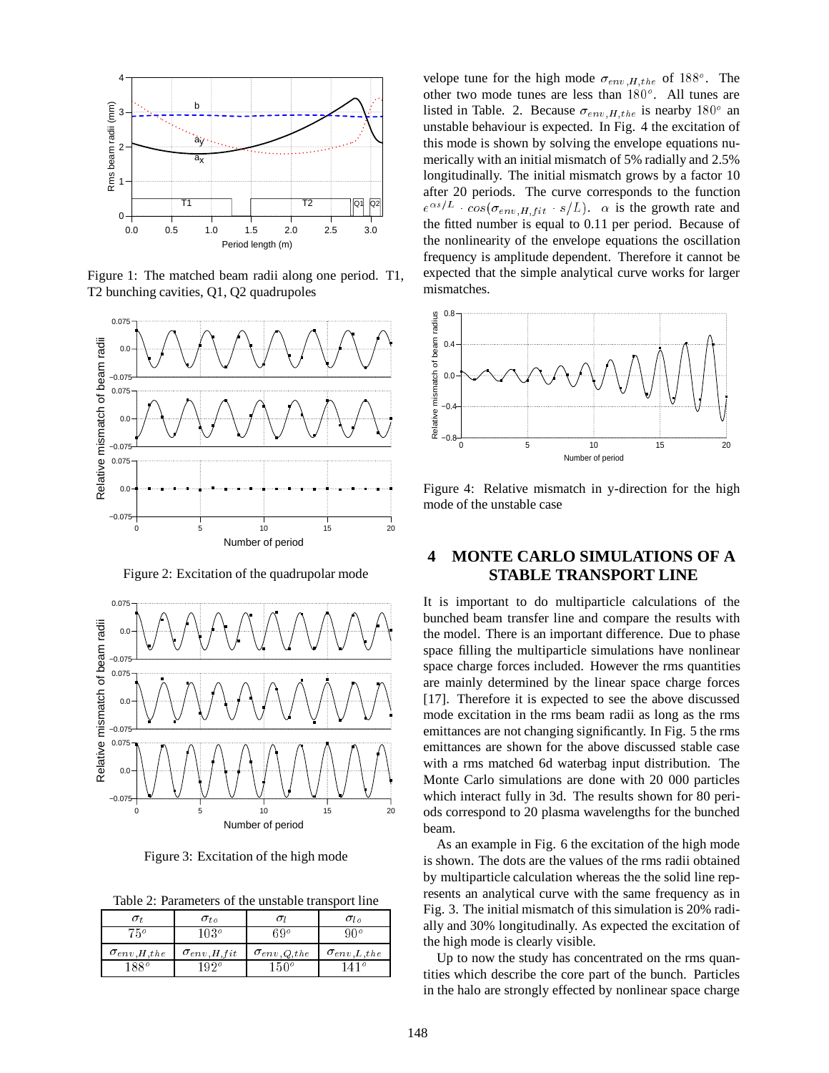

Figure 1: The matched beam radii along one period. T1, T2 bunching cavities, Q1, Q2 quadrupoles



Figure 2: Excitation of the quadrupolar mode



Figure 3: Excitation of the high mode

Table 2: Parameters of the unstable transport line

|                        | $\sigma_{to}$          |                      | $\sigma_{lo}$        |
|------------------------|------------------------|----------------------|----------------------|
| 750                    | 103°                   | 3 Q º                |                      |
| $\sigma_{env, H, the}$ | $\sigma_{env, H, fit}$ | $\sigma_{env,Q,the}$ | $\sigma_{env,L,the}$ |
| 1880                   | $102^\circ$            | $150^o$              | 41°                  |

velope tune for the high mode  $\sigma_{env,H,the}$  of 188<sup>o</sup>. The other two mode tunes are less than  $180^\circ$ . All tunes are listed in Table. 2. Because  $\sigma_{env,H,the}$  is nearby 180<sup>o</sup> an unstable behaviour is expected. In Fig. 4 the excitation of this mode is shown by solving the envelope equations numerically with an initial mismatch of 5% radially and 2.5% longitudinally. The initial mismatch grows by a factor 10 after 20 periods. The curve corresponds to the function  $e^{\alpha s/L}$   $\cos(\sigma_{env,Hftit} \cdot s/L)$ .  $\alpha$  is the growth rate and the fitted number is equal to 0.11 per period. Because of the nonlinearity of the envelope equations the oscillation frequency is amplitude dependent. Therefore it cannot be expected that the simple analytical curve works for larger mismatches.



Figure 4: Relative mismatch in y-direction for the high mode of the unstable case

## **4 MONTE CARLO SIMULATIONS OF A STABLE TRANSPORT LINE**

It is important to do multiparticle calculations of the bunched beam transfer line and compare the results with the model. There is an important difference. Due to phase space filling the multiparticle simulations have nonlinear space charge forces included. However the rms quantities are mainly determined by the linear space charge forces [17]. Therefore it is expected to see the above discussed mode excitation in the rms beam radii as long as the rms emittances are not changing significantly. In Fig. 5 the rms emittances are shown for the above discussed stable case with a rms matched 6d waterbag input distribution. The Monte Carlo simulations are done with 20 000 particles which interact fully in 3d. The results shown for 80 periods correspond to 20 plasma wavelengths for the bunched beam.

As an example in Fig. 6 the excitation of the high mode is shown. The dots are the values of the rms radii obtained by multiparticle calculation whereas the the solid line represents an analytical curve with the same frequency as in Fig. 3. The initial mismatch of this simulation is 20% radially and 30% longitudinally. As expected the excitation of the high mode is clearly visible.

Up to now the study has concentrated on the rms quantities which describe the core part of the bunch. Particles in the halo are strongly effected by nonlinear space charge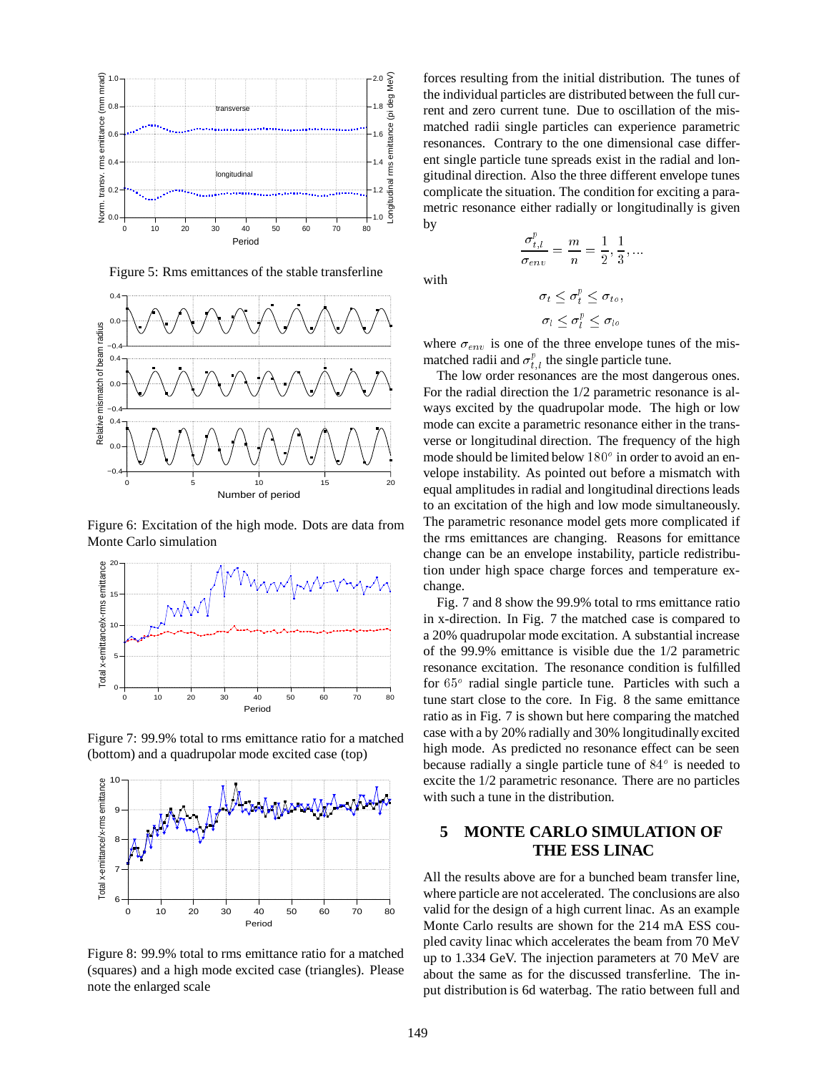

Figure 5: Rms emittances of the stable transferline



Figure 6: Excitation of the high mode. Dots are data from Monte Carlo simulation



Figure 7: 99.9% total to rms emittance ratio for a matched (bottom) and a quadrupolar mode excited case (top)



Figure 8: 99.9% total to rms emittance ratio for a matched (squares) and a high mode excited case (triangles). Please note the enlarged scale

forces resulting from the initial distribution. The tunes of the individual particles are distributed between the full current and zero current tune. Due to oscillation of the mismatched radii single particles can experience parametric resonances. Contrary to the one dimensional case different single particle tune spreads exist in the radial and longitudinal direction. Also the three different envelope tunes complicate the situation. The condition for exciting a parametric resonance either radially or longitudinally is given by

with

$$
\sigma_t \leq \sigma_t^p \leq \sigma_{t_o},
$$
  

$$
\sigma_l \leq \sigma_l^p \leq \sigma_{lo}
$$

 $\frac{\sigma^r_{t,l}}{\sigma_{env}} = \frac{m}{n} = \frac{1}{2}, \frac{1}{3}, ...$ 

where  $\sigma_{env}$  is one of the three envelope tunes of the mismatched radii and  $\sigma_{t,l}^p$  the single particle tune.

The low order resonances are the most dangerous ones. For the radial direction the 1/2 parametric resonance is always excited by the quadrupolar mode. The high or low mode can excite a parametric resonance either in the transverse or longitudinal direction. The frequency of the high mode should be limited below  $180^\circ$  in order to avoid an envelope instability. As pointed out before a mismatch with equal amplitudes in radial and longitudinal directions leads to an excitation of the high and low mode simultaneously. The parametric resonance model gets more complicated if the rms emittances are changing. Reasons for emittance change can be an envelope instability, particle redistribution under high space charge forces and temperature exchange.

Fig. 7 and 8 show the 99.9% total to rms emittance ratio in x-direction. In Fig. 7 the matched case is compared to a 20% quadrupolar mode excitation. A substantial increase of the 99.9% emittance is visible due the 1/2 parametric resonance excitation. The resonance condition is fulfilled for  $65^\circ$  radial single particle tune. Particles with such a tune start close to the core. In Fig. 8 the same emittance ratio as in Fig. 7 is shown but here comparing the matched case with a by 20% radially and 30% longitudinally excited high mode. As predicted no resonance effect can be seen because radially a single particle tune of  $84^\circ$  is needed to excite the 1/2 parametric resonance. There are no particles with such a tune in the distribution.

## **5 MONTE CARLO SIMULATION OF THE ESS LINAC**

All the results above are for a bunched beam transfer line, where particle are not accelerated. The conclusions are also valid for the design of a high current linac. As an example Monte Carlo results are shown for the 214 mA ESS coupled cavity linac which accelerates the beam from 70 MeV up to 1.334 GeV. The injection parameters at 70 MeV are about the same as for the discussed transferline. The input distribution is 6d waterbag. The ratio between full and